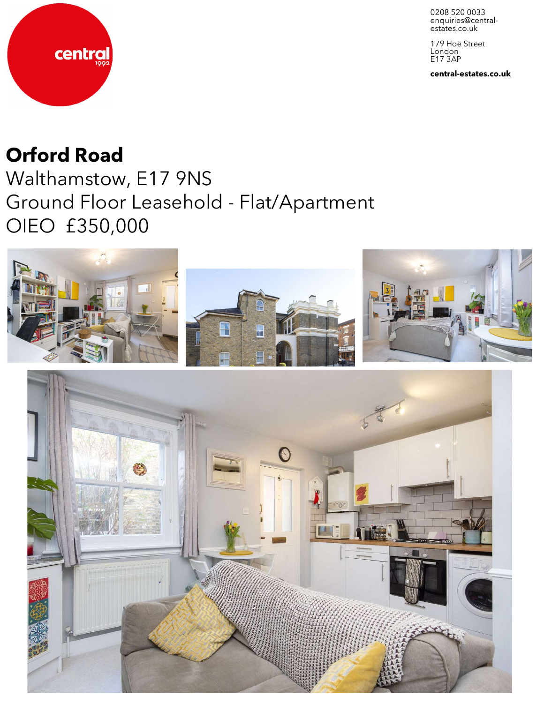0208 520 0033 enquiries@central-<br>estates.co.uk

179 Hoe Street London E17 3AP

**central-estates.co.uk**



## **Orford Road**

Walthamstow, E17 9NS Ground Floor Leasehold - Flat/Apartment OIEO £350,000